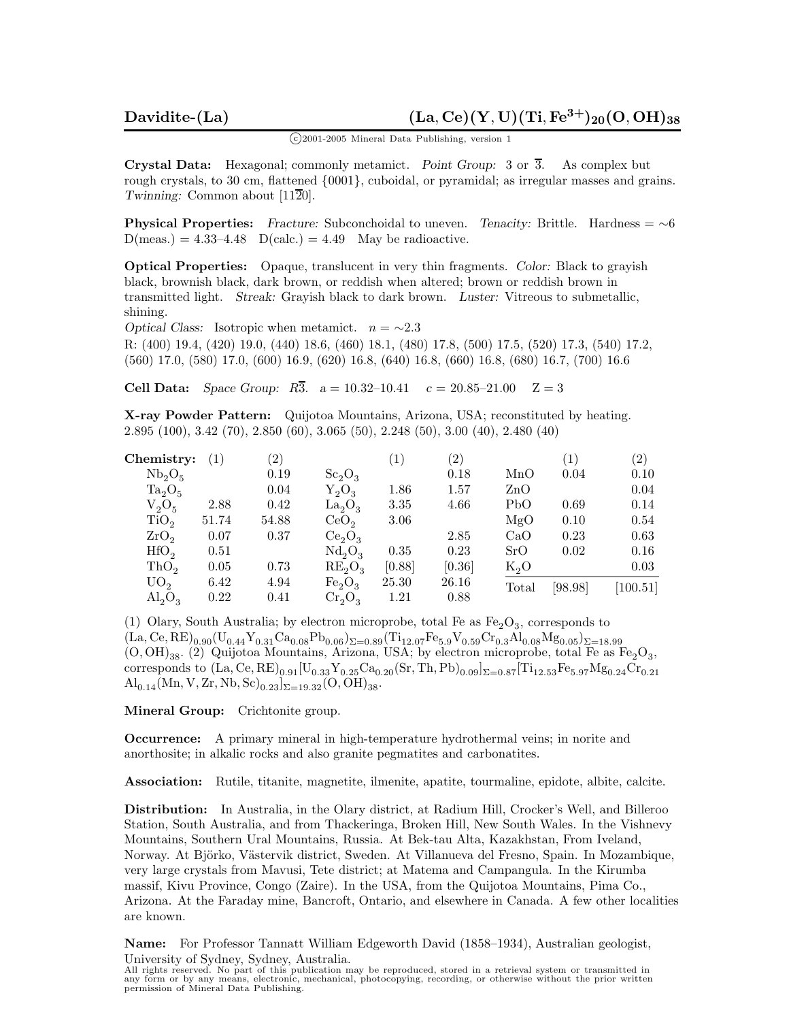<sup>c</sup> 2001-2005 Mineral Data Publishing, version 1

**Crystal Data:** Hexagonal; commonly metamict. *Point Group:* 3 or 3*.* As complex but rough crystals, to 30 cm, flattened  $\{0001\}$ , cuboidal, or pyramidal; as irregular masses and grains. *Twinning:* Common about [1120].

**Physical Properties:** *Fracture:* Subconchoidal to uneven. *Tenacity:* Brittle. Hardness = ∼6  $D(meas.) = 4.33-4.48$   $D(calc.) = 4.49$  May be radioactive.

**Optical Properties:** Opaque, translucent in very thin fragments. *Color:* Black to grayish black, brownish black, dark brown, or reddish when altered; brown or reddish brown in transmitted light. *Streak:* Grayish black to dark brown. *Luster:* Vitreous to submetallic, shining.

*Optical Class:* Isotropic when metamict.  $n = \sim 2.3$ 

R: (400) 19.4, (420) 19.0, (440) 18.6, (460) 18.1, (480) 17.8, (500) 17.5, (520) 17.3, (540) 17.2, (560) 17.0, (580) 17.0, (600) 16.9, (620) 16.8, (640) 16.8, (660) 16.8, (680) 16.7, (700) 16.6

**Cell Data:** *Space Group:*  $R_3^3$ .  $a = 10.32{\text -}10.41$   $c = 20.85{\text -}21.00$   $Z = 3$ 

**X-ray Powder Pattern:** Quijotoa Mountains, Arizona, USA; reconstituted by heating. 2.895 (100), 3.42 (70), 2.850 (60), 3.065 (50), 2.248 (50), 3.00 (40), 2.480 (40)

| Chemistry:                  | (1)   | (2)   |                                | $\left(1\right)$ | $\left( 2\right)$ |           | (1)     | $\left( 2\right)$ |
|-----------------------------|-------|-------|--------------------------------|------------------|-------------------|-----------|---------|-------------------|
| $Nb_2O_5$                   |       | 0.19  | $Sc_2O_3$                      |                  | 0.18              | MnO       | 0.04    | 0.10              |
| $Ta_2O_5$                   |       | 0.04  | $Y_2O_3$                       | 1.86             | 1.57              | $\rm ZnO$ |         | 0.04              |
| $V_2O_5$                    | 2.88  | 0.42  | $La_2O_3$                      | 3.35             | 4.66              | PbO       | 0.69    | 0.14              |
| TiO <sub>2</sub>            | 51.74 | 54.88 | CeO <sub>2</sub>               | 3.06             |                   | MgO       | 0.10    | 0.54              |
| ZrO <sub>2</sub>            | 0.07  | 0.37  | Ce <sub>2</sub> O <sub>3</sub> |                  | 2.85              | CaO       | 0.23    | 0.63              |
| HfO <sub>2</sub>            | 0.51  |       | $Nd_2O_3$                      | 0.35             | 0.23              | SrO       | 0.02    | 0.16              |
| ThO <sub>2</sub>            | 0.05  | 0.73  | $RE_2O_3$                      | [0.88]           | [0.36]            | $K_2O$    |         | 0.03              |
| UO <sub>2</sub>             | 6.42  | 4.94  | Fe <sub>2</sub> O <sub>3</sub> | 25.30            | 26.16             | Total     | [98.98] | [100.51]          |
| $\mathrm{Al}_2\mathrm{O}_3$ | 0.22  | 0.41  | $Cr_2O_3$                      | 1.21             | 0.88              |           |         |                   |

(1) Olary, South Australia; by electron microprobe, total Fe as  $Fe<sub>2</sub>O<sub>3</sub>$ , corresponds to  $(\text{La}, \text{Ce}, \text{RE})_{0.90}(\text{U}_{0.44}\text{Y}_{0.31}\text{Ca}_{0.08}\text{Pb}_{0.06})_{\Sigma=0.89}(\text{Ti}_{12.07}\text{Fe}_{5.9}\text{V}_{0.59}\text{Cr}_{0.3}\text{Al}_{0.08}\text{Mg}_{0.05})_{\Sigma=18.99}$  $(O, OH)_{38}$ . (2) Quijotoa Mountains, Arizona, USA; by electron microprobe, total Fe as  $Fe<sub>2</sub>O<sub>3</sub>$ , corresponds to  $(La, Ce, RE)_{0.91}[U_{0.33}Y_{0.25}Ca_{0.20}(Sr, Th, Pb)_{0.09}]_{\Sigma=0.87}[Ti_{12.53}Fe_{5.97}Mg_{0.24}Cr_{0.21}$  $\text{Al}_{0.14}(\text{Mn}, \text{V}, \text{Zr}, \text{Nb}, \text{Sc})_{0.23}$  $\text{E}_{\text{=19.32}}(\text{O}, \text{OH})_{38}$ .

**Mineral Group:** Crichtonite group.

**Occurrence:** A primary mineral in high-temperature hydrothermal veins; in norite and anorthosite; in alkalic rocks and also granite pegmatites and carbonatites.

**Association:** Rutile, titanite, magnetite, ilmenite, apatite, tourmaline, epidote, albite, calcite.

**Distribution:** In Australia, in the Olary district, at Radium Hill, Crocker's Well, and Billeroo Station, South Australia, and from Thackeringa, Broken Hill, New South Wales. In the Vishnevy Mountains, Southern Ural Mountains, Russia. At Bek-tau Alta, Kazakhstan, From Iveland, Norway. At Björko, Västervik district, Sweden. At Villanueva del Fresno, Spain. In Mozambique, very large crystals from Mavusi, Tete district; at Matema and Campangula. In the Kirumba massif, Kivu Province, Congo (Zaire). In the USA, from the Quijotoa Mountains, Pima Co., Arizona. At the Faraday mine, Bancroft, Ontario, and elsewhere in Canada. A few other localities are known.

**Name:** For Professor Tannatt William Edgeworth David (1858–1934), Australian geologist, University of Sydney, Sydney, Australia.

All rights reserved. No part of this publication may be reproduced, stored in a retrieval system or transmitted in any form or by any means, electronic, mechanical, photocopying, recording, or otherwise without the prior written permission of Mineral Data Publishing.